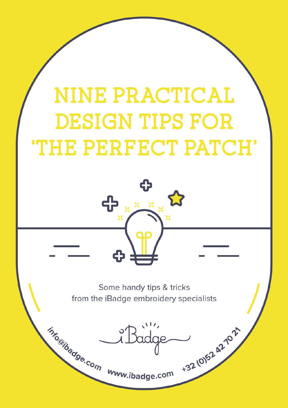# **NINE PRACTICAL DESIGN TIPS FOR THE PERFECT PATCH'**



Some handy tips & tricks from the iBadge embroidery specialists

info@ibadge.com www.ibadge.com

+32 (0)52 42 1021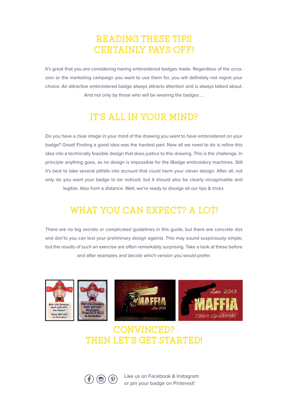## **READING THESE TIPS CERTAINLY PAYS OFF!**

It's great that you are considering having embroidered badges made. Regardless of the occasion or the marketing campaign you want to use them for, you will definitely not regret your choice. An attractive embroidered badge always attracts attention and is always talked about. And not only by those who will be wearing the badges …

# **IT'S ALL IN YOUR MIND?**

Do you have a clear image in your mind of the drawing you want to have embroidered on your badge? Great! Finding a good idea was the hardest part. Now all we need to do is refine this idea into a technically feasible design that does justice to this drawing. This is the challenge. In principle anything goes, as no design is impossible for the iBadge embroidery machines. Still it's best to take several pitfalls into account that could harm your clever design. After all, not only do you want your badge to be noticed, but it should also be clearly recognisable and legible. Also from a distance. Well, we're ready to divulge all our tips & tricks.

# **WHAT YOU CAN EXPECT? A LOT!**

There are no big secrets or complicated guidelines in this guide, but there are concrete dos and don'ts you can test your preliminary design against. This may sound suspiciously simple, but the results of such an exercise are often remarkably surprising. Take a look at these before and after examples and decide which version you would prefer.



## **CONVINCED? THEN LET'S GET STARTED!**



**(b) (p)** Like us on Facebook & Instagram or pin your badge on Pinterest!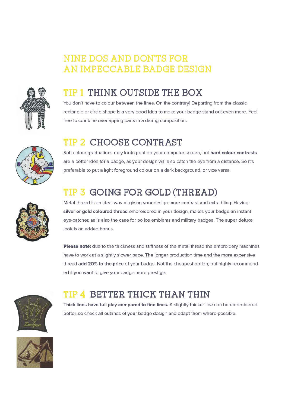# **NINE DOS AND DON'TS FOR** AN IMPECCABLE BADGE DESIGN



# **TIP 1 THINK OUTSIDE THE BOX**

You don't have to colour between the lines. On the contrary! Departing from the classic rectangle or circle shape is a very good idea to make your badge stand out even more. Feel free to combine overlapping parts in a daring composition.



# TIP 2 CHOOSE CONTRAST

Soft colour graduations may look great on your computer screen, but hard colour contrasts are a better idea for a badge, as your design will also catch the eye from a distance. So it's preferable to put a light foreground colour on a dark background, or vice versa.

# TIP 3 GOING FOR GOLD (THREAD)



Metal thread is an ideal way of giving your design more contrast and extra bling. Having silver or gold coloured thread embroidered in your design, makes your badge an instant eye-catcher, as is also the case for police emblems and military badges. The super deluxe look is an added bonus.

Please note: due to the thickness and stiffness of the metal thread the embroidery machines have to work at a slightly slower pace. The longer production time and the more expensive thread add 20% to the price of your badge. Not the cheapest option, but highly recommended if you want to give your badge more prestige.



# **TIP 4 BETTER THICK THAN THIN**

Thick lines have full play compared to fine lines. A slightly thicker line can be embroidered better, so check all outlines of your badge design and adapt them where possible.

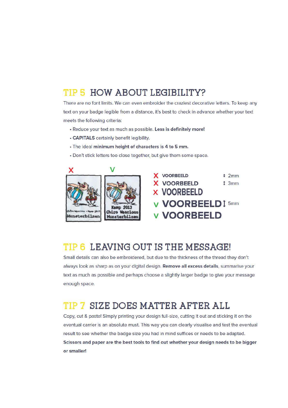### TIP 5 HOW ABOUT LEGIBILITY?

There are no font limits. We can even embroider the craziest decorative letters. To keep any text on your badge legible from a distance, it's best to check in advance whether your text meets the following criteria:

- · Reduce your text as much as possible. Less is definitely more!
- CAPITALS certainly benefit legibility.
- · The ideal minimum height of characters is 4 to 5 mm.
- . Don't stick letters too close together, but give them some space.



### TIP 6 LEAVING OUT IS THE MESSAGE!

Small details can also be embroidered, but due to the thickness of the thread they don't always look as sharp as on your digital design. Remove all excess details, summarise your text as much as possible and perhaps choose a slightly larger badge to give your message enough space.

### TIP 7 SIZE DOES MATTER AFTER ALL

Copy, cut & paste! Simply printing your design full-size, cutting it out and sticking it on the eventual carrier is an absolute must. This way you can clearly visualise and test the eventual result to see whether the badge size you had in mind suffices or needs to be adapted. Scissors and paper are the best tools to find out whether your design needs to be bigger or smaller!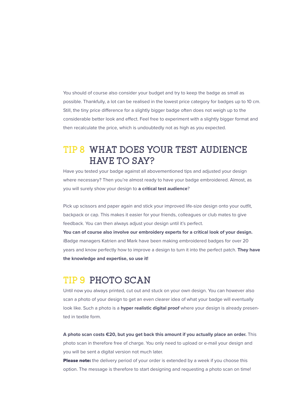You should of course also consider your budget and try to keep the badge as small as possible. Thankfully, a lot can be realised in the lowest price category for badges up to 10 cm. Still, the tiny price difference for a slightly bigger badge often does not weigh up to the considerable better look and effect. Feel free to experiment with a slightly bigger format and then recalculate the price, which is undoubtedly not as high as you expected.

## **TIP 8 WHAT DOES YOUR TEST AUDIENCE HAVE TO SAY?**

Have you tested your badge against all abovementioned tips and adjusted your design where necessary? Then you're almost ready to have your badge embroidered. Almost, as you will surely show your design to **a critical test audience**?

Pick up scissors and paper again and stick your improved life-size design onto your outfit, backpack or cap. This makes it easier for your friends, colleagues or club mates to give feedback. You can then always adjust your design until it's perfect.

**You can of course also involve our embroidery experts for a critical look of your design.** iBadge managers Katrien and Mark have been making embroidered badges for over 20 years and know perfectly how to improve a design to turn it into the perfect patch. **They have the knowledge and expertise, so use it!**

#### **TIP 9 PHOTO SCAN**

Until now you always printed, cut out and stuck on your own design. You can however also scan a photo of your design to get an even clearer idea of what your badge will eventually look like. Such a photo is a **hyper realistic digital proof** where your design is already presented in textile form.

**A photo scan costs €20, but you get back this amount if you actually place an order.** This photo scan in therefore free of charge. You only need to upload or e-mail your design and you will be sent a digital version not much later.

Please note: the delivery period of your order is extended by a week if you choose this option. The message is therefore to start designing and requesting a photo scan on time!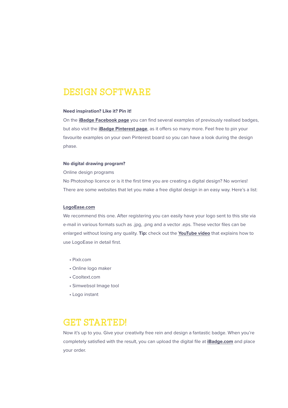#### **DESIGN SOFTWARE**

#### **Need inspiration? Like it? Pin it!**

On the **iBadge Facebook page** you can find several examples of previously realised badges, but also visit the *iBadge Pinterest page*, as it offers so many more. Feel free to pin your favourite examples on your own Pinterest board so you can have a look during the design phase.

#### **No digital drawing program?**

Online design programs

No Photoshop licence or is it the first time you are creating a digital design? No worries! There are some websites that let you make a free digital design in an easy way. Here's a list:

#### **LogoEase.com**

We recommend this one. After registering you can easily have your logo sent to this site via e-mail in various formats such as .jpg, .png and a vector .eps. These vector files can be enlarged without losing any quality. **Tip:** check out the **YouTube video** that explains how to use LogoEase in detail first.

- Pixlr.com
- Online logo maker
- Cooltext.com
- Simwebsol Image tool
- Logo instant

#### **GET STARTED!**

Now it's up to you. Give your creativity free rein and design a fantastic badge. When you're completely satisfied with the result, you can upload the digital file at **iBadge.com** and place your order.